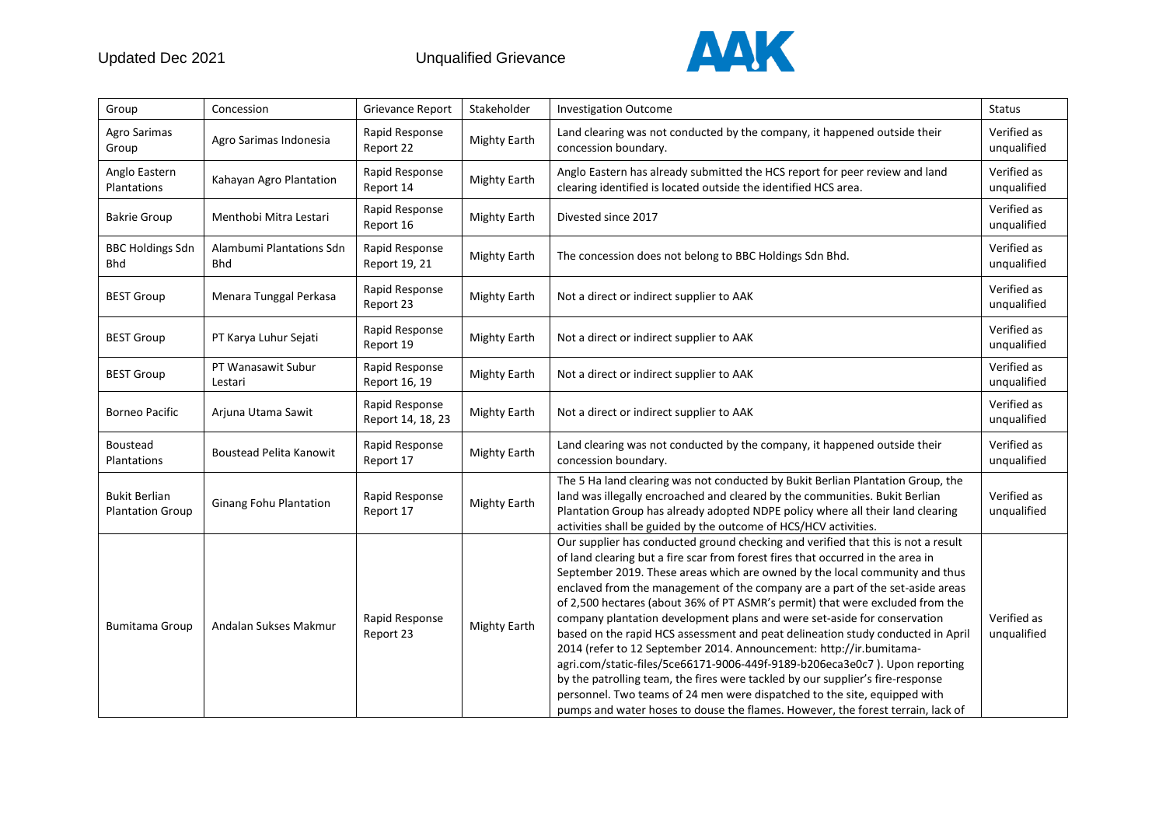

| Group                                           | Concession                             | Grievance Report                    | Stakeholder         | <b>Investigation Outcome</b>                                                                                                                                                                                                                                                                                                                                                                                                                                                                                                                                                                                                                                                                                                                                                                                                                                                                                                                                                                 | <b>Status</b>              |
|-------------------------------------------------|----------------------------------------|-------------------------------------|---------------------|----------------------------------------------------------------------------------------------------------------------------------------------------------------------------------------------------------------------------------------------------------------------------------------------------------------------------------------------------------------------------------------------------------------------------------------------------------------------------------------------------------------------------------------------------------------------------------------------------------------------------------------------------------------------------------------------------------------------------------------------------------------------------------------------------------------------------------------------------------------------------------------------------------------------------------------------------------------------------------------------|----------------------------|
| Agro Sarimas<br>Group                           | Agro Sarimas Indonesia                 | Rapid Response<br>Report 22         | <b>Mighty Earth</b> | Land clearing was not conducted by the company, it happened outside their<br>concession boundary.                                                                                                                                                                                                                                                                                                                                                                                                                                                                                                                                                                                                                                                                                                                                                                                                                                                                                            | Verified as<br>unqualified |
| Anglo Eastern<br>Plantations                    | Kahayan Agro Plantation                | Rapid Response<br>Report 14         | <b>Mighty Earth</b> | Anglo Eastern has already submitted the HCS report for peer review and land<br>clearing identified is located outside the identified HCS area.                                                                                                                                                                                                                                                                                                                                                                                                                                                                                                                                                                                                                                                                                                                                                                                                                                               | Verified as<br>unqualified |
| <b>Bakrie Group</b>                             | Menthobi Mitra Lestari                 | Rapid Response<br>Report 16         | <b>Mighty Earth</b> | Divested since 2017                                                                                                                                                                                                                                                                                                                                                                                                                                                                                                                                                                                                                                                                                                                                                                                                                                                                                                                                                                          | Verified as<br>unqualified |
| <b>BBC Holdings Sdn</b><br><b>Bhd</b>           | Alambumi Plantations Sdn<br><b>Bhd</b> | Rapid Response<br>Report 19, 21     | <b>Mighty Earth</b> | The concession does not belong to BBC Holdings Sdn Bhd.                                                                                                                                                                                                                                                                                                                                                                                                                                                                                                                                                                                                                                                                                                                                                                                                                                                                                                                                      | Verified as<br>unqualified |
| <b>BEST Group</b>                               | Menara Tunggal Perkasa                 | Rapid Response<br>Report 23         | <b>Mighty Earth</b> | Not a direct or indirect supplier to AAK                                                                                                                                                                                                                                                                                                                                                                                                                                                                                                                                                                                                                                                                                                                                                                                                                                                                                                                                                     | Verified as<br>unqualified |
| <b>BEST Group</b>                               | PT Karya Luhur Sejati                  | Rapid Response<br>Report 19         | <b>Mighty Earth</b> | Not a direct or indirect supplier to AAK                                                                                                                                                                                                                                                                                                                                                                                                                                                                                                                                                                                                                                                                                                                                                                                                                                                                                                                                                     | Verified as<br>unqualified |
| <b>BEST Group</b>                               | PT Wanasawit Subur<br>Lestari          | Rapid Response<br>Report 16, 19     | <b>Mighty Earth</b> | Not a direct or indirect supplier to AAK                                                                                                                                                                                                                                                                                                                                                                                                                                                                                                                                                                                                                                                                                                                                                                                                                                                                                                                                                     | Verified as<br>unqualified |
| <b>Borneo Pacific</b>                           | Arjuna Utama Sawit                     | Rapid Response<br>Report 14, 18, 23 | <b>Mighty Earth</b> | Not a direct or indirect supplier to AAK                                                                                                                                                                                                                                                                                                                                                                                                                                                                                                                                                                                                                                                                                                                                                                                                                                                                                                                                                     | Verified as<br>unqualified |
| Boustead<br>Plantations                         | Boustead Pelita Kanowit                | Rapid Response<br>Report 17         | <b>Mighty Earth</b> | Land clearing was not conducted by the company, it happened outside their<br>concession boundary.                                                                                                                                                                                                                                                                                                                                                                                                                                                                                                                                                                                                                                                                                                                                                                                                                                                                                            | Verified as<br>unqualified |
| <b>Bukit Berlian</b><br><b>Plantation Group</b> | <b>Ginang Fohu Plantation</b>          | Rapid Response<br>Report 17         | <b>Mighty Earth</b> | The 5 Ha land clearing was not conducted by Bukit Berlian Plantation Group, the<br>land was illegally encroached and cleared by the communities. Bukit Berlian<br>Plantation Group has already adopted NDPE policy where all their land clearing<br>activities shall be guided by the outcome of HCS/HCV activities.                                                                                                                                                                                                                                                                                                                                                                                                                                                                                                                                                                                                                                                                         | Verified as<br>unqualified |
| <b>Bumitama Group</b>                           | Andalan Sukses Makmur                  | Rapid Response<br>Report 23         | <b>Mighty Earth</b> | Our supplier has conducted ground checking and verified that this is not a result<br>of land clearing but a fire scar from forest fires that occurred in the area in<br>September 2019. These areas which are owned by the local community and thus<br>enclaved from the management of the company are a part of the set-aside areas<br>of 2,500 hectares (about 36% of PT ASMR's permit) that were excluded from the<br>company plantation development plans and were set-aside for conservation<br>based on the rapid HCS assessment and peat delineation study conducted in April<br>2014 (refer to 12 September 2014. Announcement: http://ir.bumitama-<br>agri.com/static-files/5ce66171-9006-449f-9189-b206eca3e0c7). Upon reporting<br>by the patrolling team, the fires were tackled by our supplier's fire-response<br>personnel. Two teams of 24 men were dispatched to the site, equipped with<br>pumps and water hoses to douse the flames. However, the forest terrain, lack of | Verified as<br>unqualified |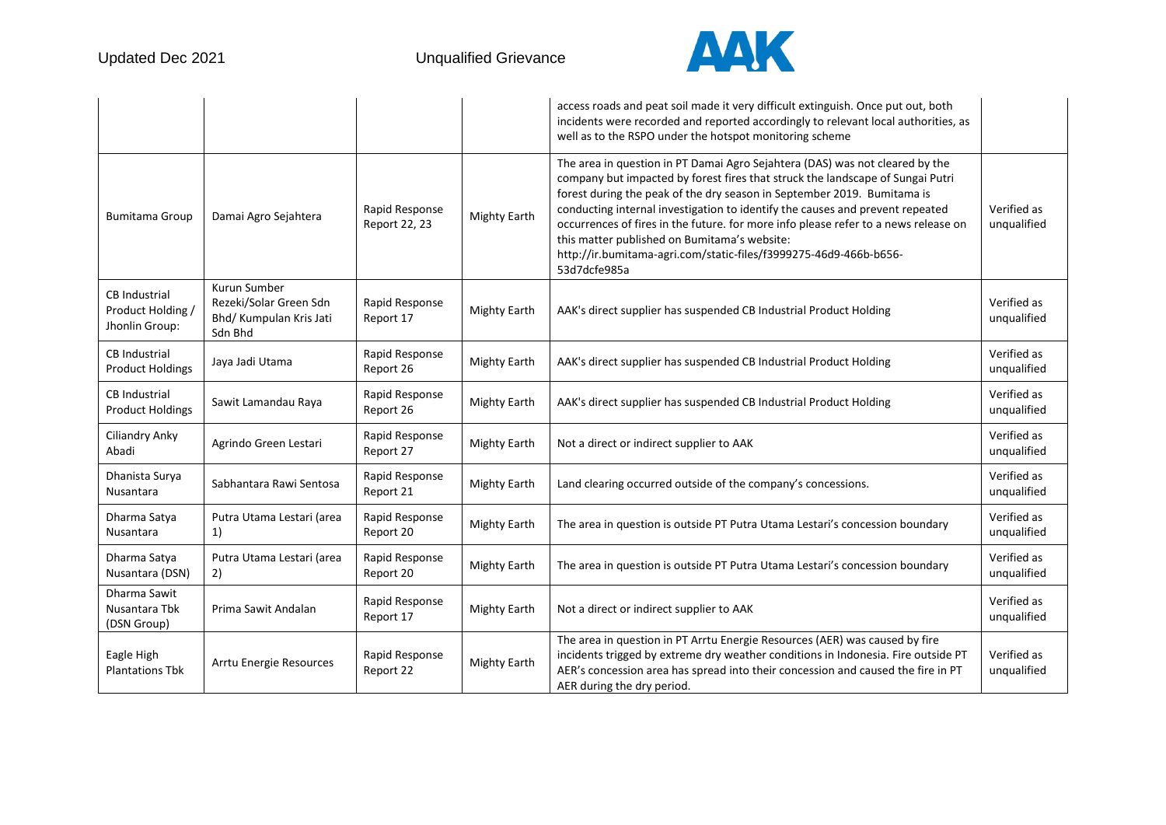

|                                                             |                                                                              |                                 |                     | access roads and peat soil made it very difficult extinguish. Once put out, both<br>incidents were recorded and reported accordingly to relevant local authorities, as<br>well as to the RSPO under the hotspot monitoring scheme                                                                                                                                                                                                                                                                                                                      |                            |
|-------------------------------------------------------------|------------------------------------------------------------------------------|---------------------------------|---------------------|--------------------------------------------------------------------------------------------------------------------------------------------------------------------------------------------------------------------------------------------------------------------------------------------------------------------------------------------------------------------------------------------------------------------------------------------------------------------------------------------------------------------------------------------------------|----------------------------|
| <b>Bumitama Group</b>                                       | Damai Agro Sejahtera                                                         | Rapid Response<br>Report 22, 23 | <b>Mighty Earth</b> | The area in question in PT Damai Agro Sejahtera (DAS) was not cleared by the<br>company but impacted by forest fires that struck the landscape of Sungai Putri<br>forest during the peak of the dry season in September 2019. Bumitama is<br>conducting internal investigation to identify the causes and prevent repeated<br>occurrences of fires in the future. for more info please refer to a news release on<br>this matter published on Bumitama's website:<br>http://ir.bumitama-agri.com/static-files/f3999275-46d9-466b-b656-<br>53d7dcfe985a | Verified as<br>unqualified |
| <b>CB</b> Industrial<br>Product Holding /<br>Jhonlin Group: | Kurun Sumber<br>Rezeki/Solar Green Sdn<br>Bhd/ Kumpulan Kris Jati<br>Sdn Bhd | Rapid Response<br>Report 17     | <b>Mighty Earth</b> | AAK's direct supplier has suspended CB Industrial Product Holding                                                                                                                                                                                                                                                                                                                                                                                                                                                                                      | Verified as<br>unqualified |
| <b>CB</b> Industrial<br><b>Product Holdings</b>             | Jaya Jadi Utama                                                              | Rapid Response<br>Report 26     | <b>Mighty Earth</b> | AAK's direct supplier has suspended CB Industrial Product Holding                                                                                                                                                                                                                                                                                                                                                                                                                                                                                      | Verified as<br>unqualified |
| <b>CB</b> Industrial<br><b>Product Holdings</b>             | Sawit Lamandau Raya                                                          | Rapid Response<br>Report 26     | <b>Mighty Earth</b> | AAK's direct supplier has suspended CB Industrial Product Holding                                                                                                                                                                                                                                                                                                                                                                                                                                                                                      | Verified as<br>unqualified |
| Ciliandry Anky<br>Abadi                                     | Agrindo Green Lestari                                                        | Rapid Response<br>Report 27     | <b>Mighty Earth</b> | Not a direct or indirect supplier to AAK                                                                                                                                                                                                                                                                                                                                                                                                                                                                                                               | Verified as<br>unqualified |
| Dhanista Surya<br>Nusantara                                 | Sabhantara Rawi Sentosa                                                      | Rapid Response<br>Report 21     | <b>Mighty Earth</b> | Land clearing occurred outside of the company's concessions.                                                                                                                                                                                                                                                                                                                                                                                                                                                                                           | Verified as<br>unqualified |
| Dharma Satya<br>Nusantara                                   | Putra Utama Lestari (area<br>1)                                              | Rapid Response<br>Report 20     | <b>Mighty Earth</b> | The area in question is outside PT Putra Utama Lestari's concession boundary                                                                                                                                                                                                                                                                                                                                                                                                                                                                           | Verified as<br>unqualified |
| Dharma Satya<br>Nusantara (DSN)                             | Putra Utama Lestari (area<br>2)                                              | Rapid Response<br>Report 20     | <b>Mighty Earth</b> | The area in question is outside PT Putra Utama Lestari's concession boundary                                                                                                                                                                                                                                                                                                                                                                                                                                                                           | Verified as<br>unqualified |
| Dharma Sawit<br>Nusantara Tbk<br>(DSN Group)                | Prima Sawit Andalan                                                          | Rapid Response<br>Report 17     | <b>Mighty Earth</b> | Not a direct or indirect supplier to AAK                                                                                                                                                                                                                                                                                                                                                                                                                                                                                                               | Verified as<br>unqualified |
| Eagle High<br><b>Plantations Tbk</b>                        | Arrtu Energie Resources                                                      | Rapid Response<br>Report 22     | <b>Mighty Earth</b> | The area in question in PT Arrtu Energie Resources (AER) was caused by fire<br>incidents trigged by extreme dry weather conditions in Indonesia. Fire outside PT<br>AER's concession area has spread into their concession and caused the fire in PT<br>AER during the dry period.                                                                                                                                                                                                                                                                     | Verified as<br>unqualified |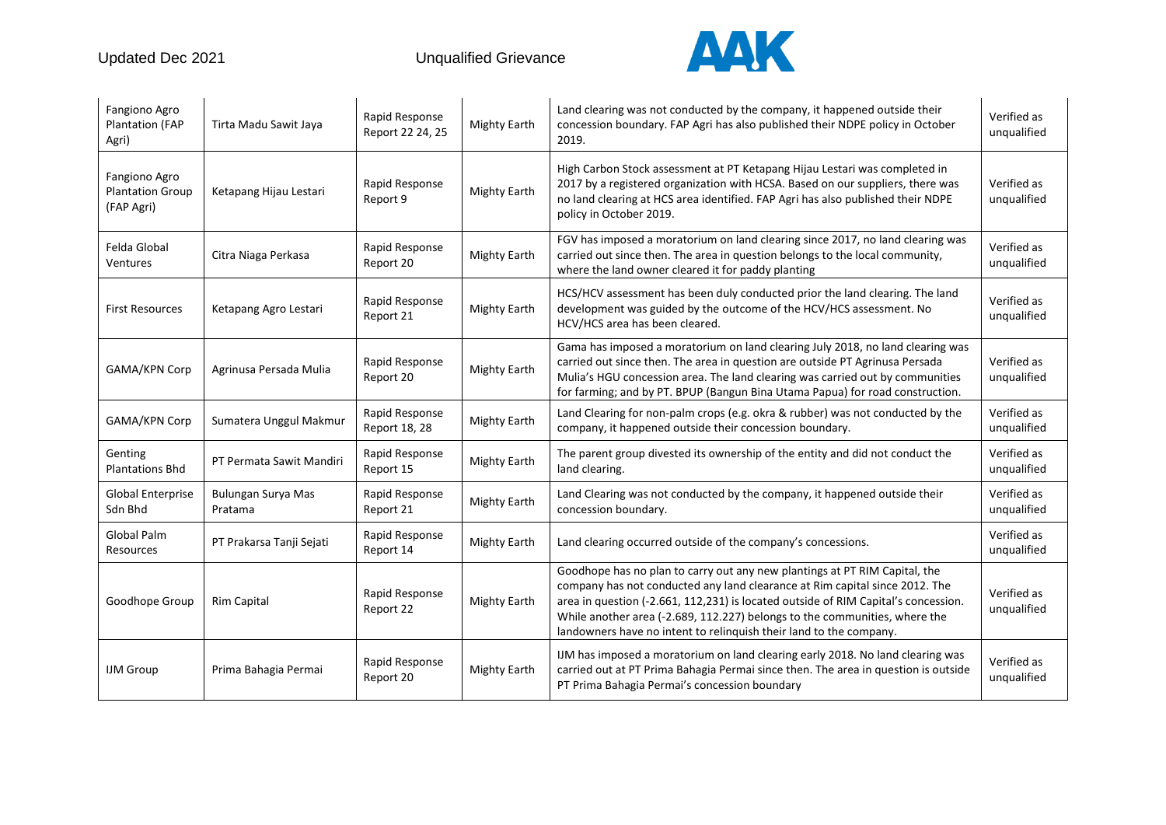

| Fangiono Agro<br><b>Plantation (FAP</b><br>Agri)       | Tirta Madu Sawit Jaya         | Rapid Response<br>Report 22 24, 25 | <b>Mighty Earth</b> | Land clearing was not conducted by the company, it happened outside their<br>concession boundary. FAP Agri has also published their NDPE policy in October<br>2019.                                                                                                                                                                                                                                 | Verified as<br>unqualified |
|--------------------------------------------------------|-------------------------------|------------------------------------|---------------------|-----------------------------------------------------------------------------------------------------------------------------------------------------------------------------------------------------------------------------------------------------------------------------------------------------------------------------------------------------------------------------------------------------|----------------------------|
| Fangiono Agro<br><b>Plantation Group</b><br>(FAP Agri) | Ketapang Hijau Lestari        | Rapid Response<br>Report 9         | <b>Mighty Earth</b> | High Carbon Stock assessment at PT Ketapang Hijau Lestari was completed in<br>2017 by a registered organization with HCSA. Based on our suppliers, there was<br>no land clearing at HCS area identified. FAP Agri has also published their NDPE<br>policy in October 2019.                                                                                                                          | Verified as<br>unqualified |
| Felda Global<br>Ventures                               | Citra Niaga Perkasa           | Rapid Response<br>Report 20        | <b>Mighty Earth</b> | FGV has imposed a moratorium on land clearing since 2017, no land clearing was<br>carried out since then. The area in question belongs to the local community,<br>where the land owner cleared it for paddy planting                                                                                                                                                                                | Verified as<br>unqualified |
| <b>First Resources</b>                                 | Ketapang Agro Lestari         | Rapid Response<br>Report 21        | <b>Mighty Earth</b> | HCS/HCV assessment has been duly conducted prior the land clearing. The land<br>development was guided by the outcome of the HCV/HCS assessment. No<br>HCV/HCS area has been cleared.                                                                                                                                                                                                               | Verified as<br>unqualified |
| GAMA/KPN Corp                                          | Agrinusa Persada Mulia        | Rapid Response<br>Report 20        | <b>Mighty Earth</b> | Gama has imposed a moratorium on land clearing July 2018, no land clearing was<br>carried out since then. The area in question are outside PT Agrinusa Persada<br>Mulia's HGU concession area. The land clearing was carried out by communities<br>for farming; and by PT. BPUP (Bangun Bina Utama Papua) for road construction.                                                                    | Verified as<br>unqualified |
| GAMA/KPN Corp                                          | Sumatera Unggul Makmur        | Rapid Response<br>Report 18, 28    | <b>Mighty Earth</b> | Land Clearing for non-palm crops (e.g. okra & rubber) was not conducted by the<br>company, it happened outside their concession boundary.                                                                                                                                                                                                                                                           | Verified as<br>unqualified |
| Genting<br><b>Plantations Bhd</b>                      | PT Permata Sawit Mandiri      | Rapid Response<br>Report 15        | <b>Mighty Earth</b> | The parent group divested its ownership of the entity and did not conduct the<br>land clearing.                                                                                                                                                                                                                                                                                                     | Verified as<br>unqualified |
| Global Enterprise<br>Sdn Bhd                           | Bulungan Surya Mas<br>Pratama | Rapid Response<br>Report 21        | <b>Mighty Earth</b> | Land Clearing was not conducted by the company, it happened outside their<br>concession boundary.                                                                                                                                                                                                                                                                                                   | Verified as<br>unqualified |
| <b>Global Palm</b><br>Resources                        | PT Prakarsa Tanji Sejati      | Rapid Response<br>Report 14        | <b>Mighty Earth</b> | Land clearing occurred outside of the company's concessions.                                                                                                                                                                                                                                                                                                                                        | Verified as<br>unqualified |
| Goodhope Group                                         | <b>Rim Capital</b>            | Rapid Response<br>Report 22        | Mighty Earth        | Goodhope has no plan to carry out any new plantings at PT RIM Capital, the<br>company has not conducted any land clearance at Rim capital since 2012. The<br>area in question (-2.661, 112,231) is located outside of RIM Capital's concession.<br>While another area (-2.689, 112.227) belongs to the communities, where the<br>landowners have no intent to relinquish their land to the company. | Verified as<br>unqualified |
| <b>IJM</b> Group                                       | Prima Bahagia Permai          | Rapid Response<br>Report 20        | <b>Mighty Earth</b> | IJM has imposed a moratorium on land clearing early 2018. No land clearing was<br>carried out at PT Prima Bahagia Permai since then. The area in question is outside<br>PT Prima Bahagia Permai's concession boundary                                                                                                                                                                               | Verified as<br>unqualified |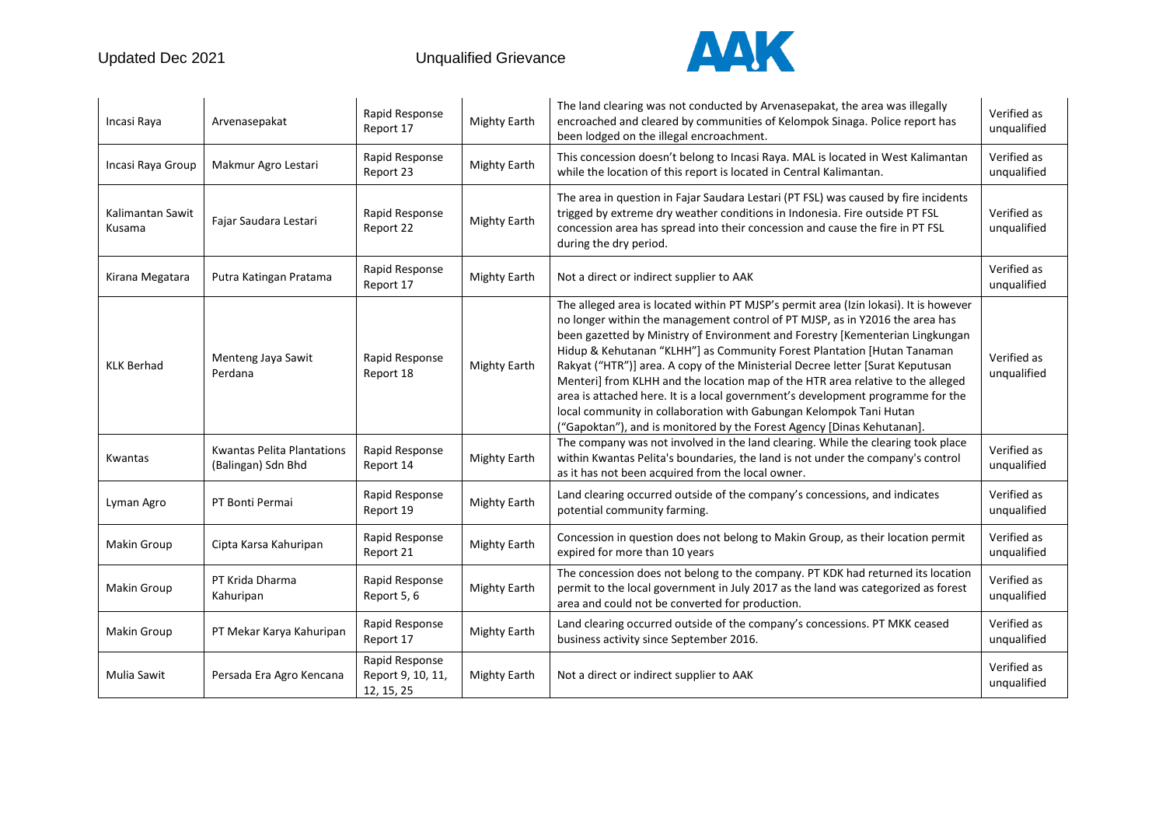

| Incasi Raya                | Arvenasepakat                                           | Rapid Response<br>Report 17                       | <b>Mighty Earth</b> | The land clearing was not conducted by Arvenasepakat, the area was illegally<br>encroached and cleared by communities of Kelompok Sinaga. Police report has<br>been lodged on the illegal encroachment.                                                                                                                                                                                                                                                                                                                                                                                                                                                                                                                                   | Verified as<br>unqualified |
|----------------------------|---------------------------------------------------------|---------------------------------------------------|---------------------|-------------------------------------------------------------------------------------------------------------------------------------------------------------------------------------------------------------------------------------------------------------------------------------------------------------------------------------------------------------------------------------------------------------------------------------------------------------------------------------------------------------------------------------------------------------------------------------------------------------------------------------------------------------------------------------------------------------------------------------------|----------------------------|
| Incasi Raya Group          | Makmur Agro Lestari                                     | Rapid Response<br>Report 23                       | <b>Mighty Earth</b> | This concession doesn't belong to Incasi Raya. MAL is located in West Kalimantan<br>while the location of this report is located in Central Kalimantan.                                                                                                                                                                                                                                                                                                                                                                                                                                                                                                                                                                                   | Verified as<br>unqualified |
| Kalimantan Sawit<br>Kusama | Fajar Saudara Lestari                                   | Rapid Response<br>Report 22                       | <b>Mighty Earth</b> | The area in question in Fajar Saudara Lestari (PT FSL) was caused by fire incidents<br>trigged by extreme dry weather conditions in Indonesia. Fire outside PT FSL<br>concession area has spread into their concession and cause the fire in PT FSL<br>during the dry period.                                                                                                                                                                                                                                                                                                                                                                                                                                                             | Verified as<br>unqualified |
| Kirana Megatara            | Putra Katingan Pratama                                  | Rapid Response<br>Report 17                       | <b>Mighty Earth</b> | Not a direct or indirect supplier to AAK                                                                                                                                                                                                                                                                                                                                                                                                                                                                                                                                                                                                                                                                                                  | Verified as<br>unqualified |
| <b>KLK Berhad</b>          | Menteng Jaya Sawit<br>Perdana                           | Rapid Response<br>Report 18                       | <b>Mighty Earth</b> | The alleged area is located within PT MJSP's permit area (Izin lokasi). It is however<br>no longer within the management control of PT MJSP, as in Y2016 the area has<br>been gazetted by Ministry of Environment and Forestry [Kementerian Lingkungan<br>Hidup & Kehutanan "KLHH"] as Community Forest Plantation [Hutan Tanaman<br>Rakyat ("HTR")] area. A copy of the Ministerial Decree letter [Surat Keputusan<br>Menteri] from KLHH and the location map of the HTR area relative to the alleged<br>area is attached here. It is a local government's development programme for the<br>local community in collaboration with Gabungan Kelompok Tani Hutan<br>("Gapoktan"), and is monitored by the Forest Agency [Dinas Kehutanan]. | Verified as<br>unqualified |
| Kwantas                    | <b>Kwantas Pelita Plantations</b><br>(Balingan) Sdn Bhd | Rapid Response<br>Report 14                       | <b>Mighty Earth</b> | The company was not involved in the land clearing. While the clearing took place<br>within Kwantas Pelita's boundaries, the land is not under the company's control<br>as it has not been acquired from the local owner.                                                                                                                                                                                                                                                                                                                                                                                                                                                                                                                  | Verified as<br>unqualified |
| Lyman Agro                 | PT Bonti Permai                                         | Rapid Response<br>Report 19                       | <b>Mighty Earth</b> | Land clearing occurred outside of the company's concessions, and indicates<br>potential community farming.                                                                                                                                                                                                                                                                                                                                                                                                                                                                                                                                                                                                                                | Verified as<br>unqualified |
| Makin Group                | Cipta Karsa Kahuripan                                   | Rapid Response<br>Report 21                       | <b>Mighty Earth</b> | Concession in question does not belong to Makin Group, as their location permit<br>expired for more than 10 years                                                                                                                                                                                                                                                                                                                                                                                                                                                                                                                                                                                                                         | Verified as<br>unqualified |
| Makin Group                | PT Krida Dharma<br>Kahuripan                            | Rapid Response<br>Report 5, 6                     | <b>Mighty Earth</b> | The concession does not belong to the company. PT KDK had returned its location<br>permit to the local government in July 2017 as the land was categorized as forest<br>area and could not be converted for production.                                                                                                                                                                                                                                                                                                                                                                                                                                                                                                                   | Verified as<br>unqualified |
| Makin Group                | PT Mekar Karya Kahuripan                                | Rapid Response<br>Report 17                       | <b>Mighty Earth</b> | Land clearing occurred outside of the company's concessions. PT MKK ceased<br>business activity since September 2016.                                                                                                                                                                                                                                                                                                                                                                                                                                                                                                                                                                                                                     | Verified as<br>unqualified |
| Mulia Sawit                | Persada Era Agro Kencana                                | Rapid Response<br>Report 9, 10, 11,<br>12, 15, 25 | <b>Mighty Earth</b> | Not a direct or indirect supplier to AAK                                                                                                                                                                                                                                                                                                                                                                                                                                                                                                                                                                                                                                                                                                  | Verified as<br>unqualified |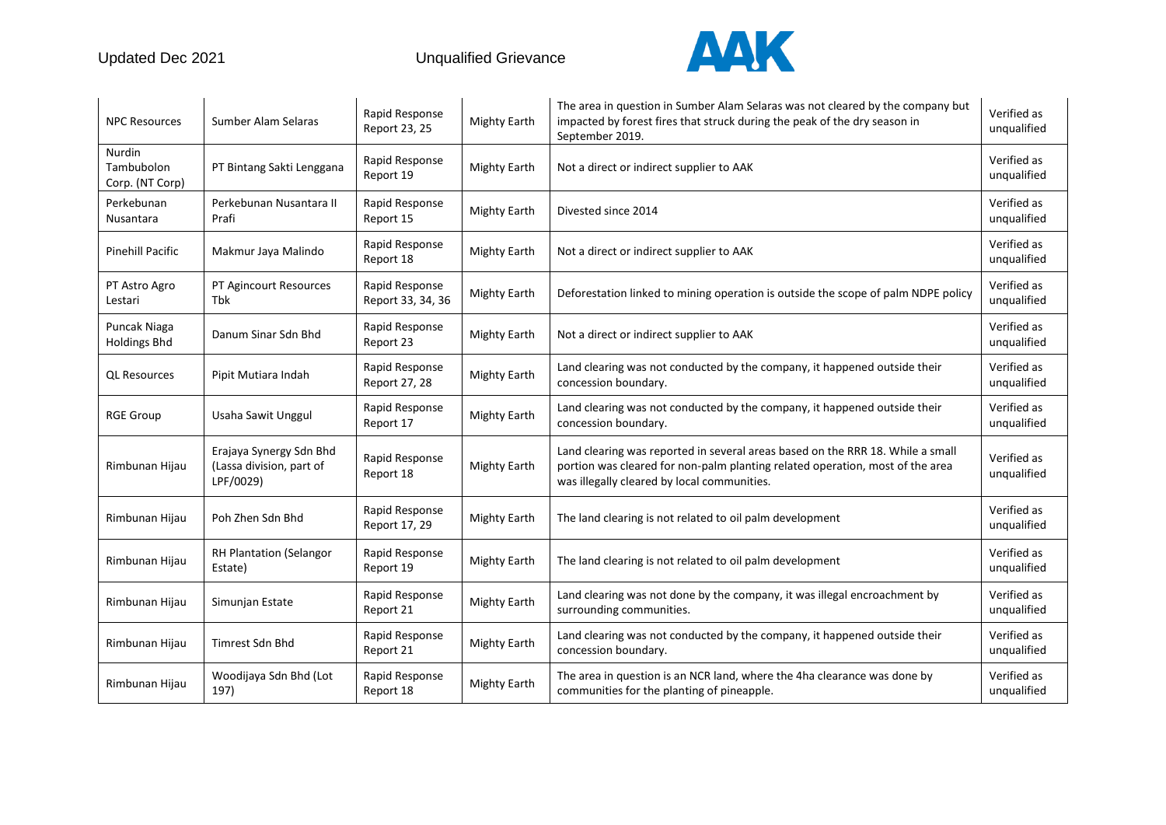

| <b>NPC Resources</b>                    | Sumber Alam Selaras                                              | Rapid Response<br>Report 23, 25     | <b>Mighty Earth</b> | The area in question in Sumber Alam Selaras was not cleared by the company but<br>impacted by forest fires that struck during the peak of the dry season in<br>September 2019.                                 | Verified as<br>unqualified |
|-----------------------------------------|------------------------------------------------------------------|-------------------------------------|---------------------|----------------------------------------------------------------------------------------------------------------------------------------------------------------------------------------------------------------|----------------------------|
| Nurdin<br>Tambubolon<br>Corp. (NT Corp) | PT Bintang Sakti Lenggana                                        | Rapid Response<br>Report 19         | <b>Mighty Earth</b> | Not a direct or indirect supplier to AAK                                                                                                                                                                       | Verified as<br>unqualified |
| Perkebunan<br>Nusantara                 | Perkebunan Nusantara II<br>Prafi                                 | Rapid Response<br>Report 15         | <b>Mighty Earth</b> | Divested since 2014                                                                                                                                                                                            | Verified as<br>unqualified |
| <b>Pinehill Pacific</b>                 | Makmur Jaya Malindo                                              | Rapid Response<br>Report 18         | <b>Mighty Earth</b> | Not a direct or indirect supplier to AAK                                                                                                                                                                       | Verified as<br>unqualified |
| PT Astro Agro<br>Lestari                | PT Agincourt Resources<br>Tbk                                    | Rapid Response<br>Report 33, 34, 36 | <b>Mighty Earth</b> | Deforestation linked to mining operation is outside the scope of palm NDPE policy                                                                                                                              | Verified as<br>unqualified |
| Puncak Niaga<br><b>Holdings Bhd</b>     | Danum Sinar Sdn Bhd                                              | Rapid Response<br>Report 23         | <b>Mighty Earth</b> | Not a direct or indirect supplier to AAK                                                                                                                                                                       | Verified as<br>unqualified |
| <b>QL Resources</b>                     | Pipit Mutiara Indah                                              | Rapid Response<br>Report 27, 28     | <b>Mighty Earth</b> | Land clearing was not conducted by the company, it happened outside their<br>concession boundary.                                                                                                              | Verified as<br>unqualified |
| <b>RGE Group</b>                        | Usaha Sawit Unggul                                               | Rapid Response<br>Report 17         | <b>Mighty Earth</b> | Land clearing was not conducted by the company, it happened outside their<br>concession boundary.                                                                                                              | Verified as<br>unqualified |
| Rimbunan Hijau                          | Erajaya Synergy Sdn Bhd<br>(Lassa division, part of<br>LPF/0029) | Rapid Response<br>Report 18         | <b>Mighty Earth</b> | Land clearing was reported in several areas based on the RRR 18. While a small<br>portion was cleared for non-palm planting related operation, most of the area<br>was illegally cleared by local communities. | Verified as<br>unqualified |
| Rimbunan Hijau                          | Poh Zhen Sdn Bhd                                                 | Rapid Response<br>Report 17, 29     | Mighty Earth        | The land clearing is not related to oil palm development                                                                                                                                                       | Verified as<br>unqualified |
| Rimbunan Hijau                          | <b>RH Plantation (Selangor</b><br>Estate)                        | Rapid Response<br>Report 19         | Mighty Earth        | The land clearing is not related to oil palm development                                                                                                                                                       | Verified as<br>unqualified |
| Rimbunan Hijau                          | Simunjan Estate                                                  | Rapid Response<br>Report 21         | Mighty Earth        | Land clearing was not done by the company, it was illegal encroachment by<br>surrounding communities.                                                                                                          | Verified as<br>unqualified |
| Rimbunan Hijau                          | Timrest Sdn Bhd                                                  | Rapid Response<br>Report 21         | Mighty Earth        | Land clearing was not conducted by the company, it happened outside their<br>concession boundary.                                                                                                              | Verified as<br>unqualified |
| Rimbunan Hijau                          | Woodijaya Sdn Bhd (Lot<br>197)                                   | Rapid Response<br>Report 18         | Mighty Earth        | The area in question is an NCR land, where the 4ha clearance was done by<br>communities for the planting of pineapple.                                                                                         | Verified as<br>unqualified |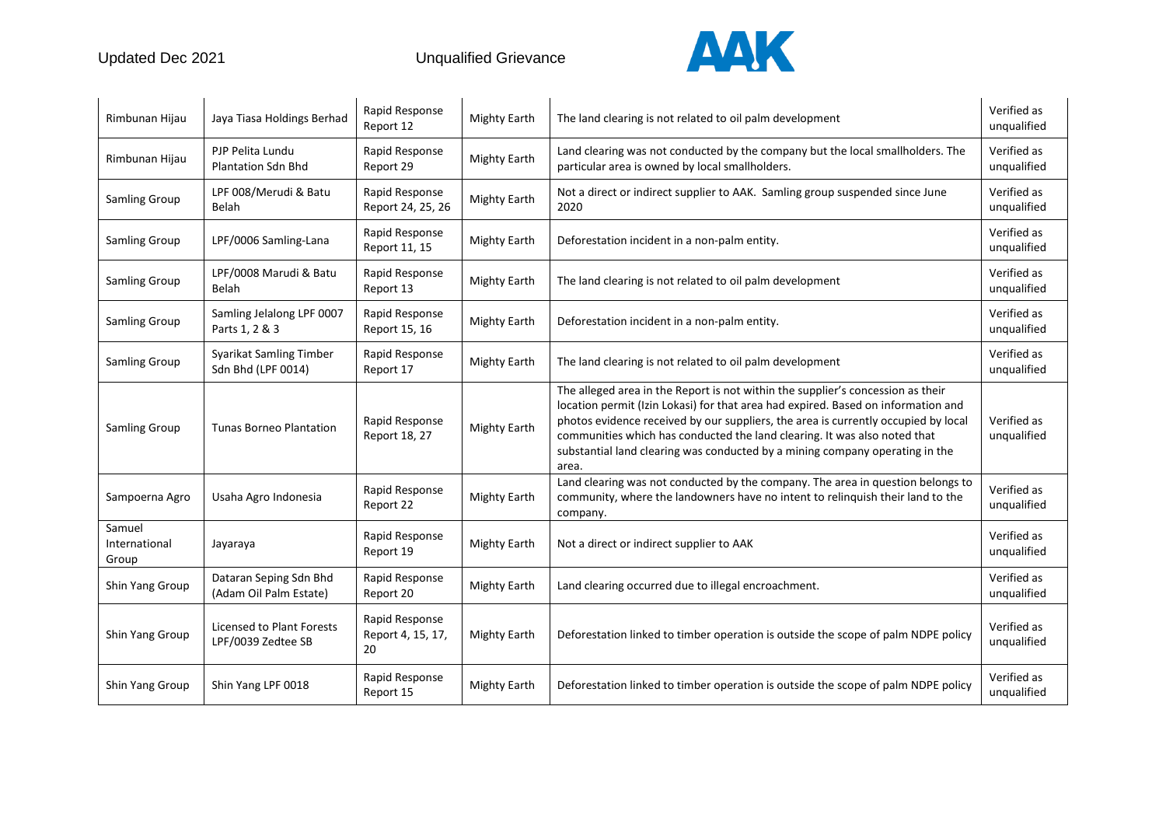

| Rimbunan Hijau                   | Jaya Tiasa Holdings Berhad                       | Rapid Response<br>Report 12               | <b>Mighty Earth</b> | The land clearing is not related to oil palm development                                                                                                                                                                                                                                                                                                                                                                         | Verified as<br>unqualified |
|----------------------------------|--------------------------------------------------|-------------------------------------------|---------------------|----------------------------------------------------------------------------------------------------------------------------------------------------------------------------------------------------------------------------------------------------------------------------------------------------------------------------------------------------------------------------------------------------------------------------------|----------------------------|
| Rimbunan Hijau                   | PJP Pelita Lundu<br><b>Plantation Sdn Bhd</b>    | Rapid Response<br>Report 29               | <b>Mighty Earth</b> | Land clearing was not conducted by the company but the local smallholders. The<br>particular area is owned by local smallholders.                                                                                                                                                                                                                                                                                                | Verified as<br>unqualified |
| <b>Samling Group</b>             | LPF 008/Merudi & Batu<br>Belah                   | Rapid Response<br>Report 24, 25, 26       | <b>Mighty Earth</b> | Not a direct or indirect supplier to AAK. Samling group suspended since June<br>2020                                                                                                                                                                                                                                                                                                                                             | Verified as<br>unqualified |
| Samling Group                    | LPF/0006 Samling-Lana                            | Rapid Response<br>Report 11, 15           | <b>Mighty Earth</b> | Deforestation incident in a non-palm entity.                                                                                                                                                                                                                                                                                                                                                                                     | Verified as<br>unqualified |
| Samling Group                    | LPF/0008 Marudi & Batu<br>Belah                  | Rapid Response<br>Report 13               | <b>Mighty Earth</b> | The land clearing is not related to oil palm development                                                                                                                                                                                                                                                                                                                                                                         | Verified as<br>unqualified |
| Samling Group                    | Samling Jelalong LPF 0007<br>Parts 1, 2 & 3      | Rapid Response<br>Report 15, 16           | <b>Mighty Earth</b> | Deforestation incident in a non-palm entity.                                                                                                                                                                                                                                                                                                                                                                                     | Verified as<br>unqualified |
| Samling Group                    | Syarikat Samling Timber<br>Sdn Bhd (LPF 0014)    | Rapid Response<br>Report 17               | <b>Mighty Earth</b> | The land clearing is not related to oil palm development                                                                                                                                                                                                                                                                                                                                                                         | Verified as<br>unqualified |
| <b>Samling Group</b>             | <b>Tunas Borneo Plantation</b>                   | Rapid Response<br>Report 18, 27           | <b>Mighty Earth</b> | The alleged area in the Report is not within the supplier's concession as their<br>location permit (Izin Lokasi) for that area had expired. Based on information and<br>photos evidence received by our suppliers, the area is currently occupied by local<br>communities which has conducted the land clearing. It was also noted that<br>substantial land clearing was conducted by a mining company operating in the<br>area. | Verified as<br>unqualified |
| Sampoerna Agro                   | Usaha Agro Indonesia                             | Rapid Response<br>Report 22               | <b>Mighty Earth</b> | Land clearing was not conducted by the company. The area in question belongs to<br>community, where the landowners have no intent to relinquish their land to the<br>company.                                                                                                                                                                                                                                                    | Verified as<br>unqualified |
| Samuel<br>International<br>Group | Jayaraya                                         | Rapid Response<br>Report 19               | <b>Mighty Earth</b> | Not a direct or indirect supplier to AAK                                                                                                                                                                                                                                                                                                                                                                                         | Verified as<br>unqualified |
| Shin Yang Group                  | Dataran Seping Sdn Bhd<br>(Adam Oil Palm Estate) | Rapid Response<br>Report 20               | <b>Mighty Earth</b> | Land clearing occurred due to illegal encroachment.                                                                                                                                                                                                                                                                                                                                                                              | Verified as<br>unqualified |
| Shin Yang Group                  | Licensed to Plant Forests<br>LPF/0039 Zedtee SB  | Rapid Response<br>Report 4, 15, 17,<br>20 | <b>Mighty Earth</b> | Deforestation linked to timber operation is outside the scope of palm NDPE policy                                                                                                                                                                                                                                                                                                                                                | Verified as<br>unqualified |
| Shin Yang Group                  | Shin Yang LPF 0018                               | Rapid Response<br>Report 15               | <b>Mighty Earth</b> | Deforestation linked to timber operation is outside the scope of palm NDPE policy                                                                                                                                                                                                                                                                                                                                                | Verified as<br>unqualified |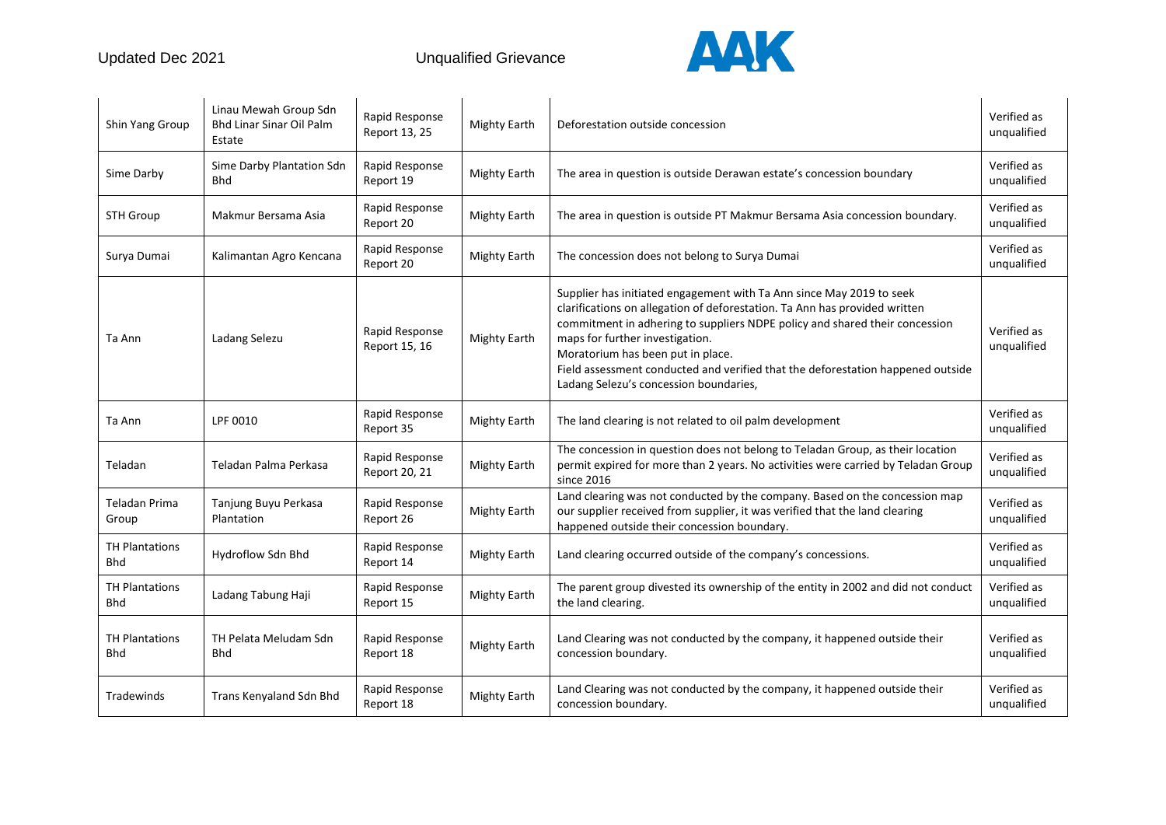

| Shin Yang Group                     | Linau Mewah Group Sdn<br><b>Bhd Linar Sinar Oil Palm</b><br>Estate | Rapid Response<br>Report 13, 25 | <b>Mighty Earth</b> | Deforestation outside concession                                                                                                                                                                                                                                                                                                                                                                                                       | Verified as<br>unqualified |
|-------------------------------------|--------------------------------------------------------------------|---------------------------------|---------------------|----------------------------------------------------------------------------------------------------------------------------------------------------------------------------------------------------------------------------------------------------------------------------------------------------------------------------------------------------------------------------------------------------------------------------------------|----------------------------|
| Sime Darby                          | Sime Darby Plantation Sdn<br><b>Bhd</b>                            | Rapid Response<br>Report 19     | <b>Mighty Earth</b> | The area in question is outside Derawan estate's concession boundary                                                                                                                                                                                                                                                                                                                                                                   | Verified as<br>unqualified |
| <b>STH Group</b>                    | Makmur Bersama Asia                                                | Rapid Response<br>Report 20     | <b>Mighty Earth</b> | The area in question is outside PT Makmur Bersama Asia concession boundary.                                                                                                                                                                                                                                                                                                                                                            | Verified as<br>unqualified |
| Surya Dumai                         | Kalimantan Agro Kencana                                            | Rapid Response<br>Report 20     | <b>Mighty Earth</b> | The concession does not belong to Surya Dumai                                                                                                                                                                                                                                                                                                                                                                                          | Verified as<br>unqualified |
| Ta Ann                              | Ladang Selezu                                                      | Rapid Response<br>Report 15, 16 | <b>Mighty Earth</b> | Supplier has initiated engagement with Ta Ann since May 2019 to seek<br>clarifications on allegation of deforestation. Ta Ann has provided written<br>commitment in adhering to suppliers NDPE policy and shared their concession<br>maps for further investigation.<br>Moratorium has been put in place.<br>Field assessment conducted and verified that the deforestation happened outside<br>Ladang Selezu's concession boundaries, | Verified as<br>unqualified |
| Ta Ann                              | LPF 0010                                                           | Rapid Response<br>Report 35     | <b>Mighty Earth</b> | The land clearing is not related to oil palm development                                                                                                                                                                                                                                                                                                                                                                               | Verified as<br>unqualified |
| Teladan                             | Teladan Palma Perkasa                                              | Rapid Response<br>Report 20, 21 | <b>Mighty Earth</b> | The concession in question does not belong to Teladan Group, as their location<br>permit expired for more than 2 years. No activities were carried by Teladan Group<br>since 2016                                                                                                                                                                                                                                                      | Verified as<br>unqualified |
| Teladan Prima<br>Group              | Tanjung Buyu Perkasa<br>Plantation                                 | Rapid Response<br>Report 26     | <b>Mighty Earth</b> | Land clearing was not conducted by the company. Based on the concession map<br>our supplier received from supplier, it was verified that the land clearing<br>happened outside their concession boundary.                                                                                                                                                                                                                              | Verified as<br>unqualified |
| <b>TH Plantations</b><br><b>Bhd</b> | Hydroflow Sdn Bhd                                                  | Rapid Response<br>Report 14     | <b>Mighty Earth</b> | Land clearing occurred outside of the company's concessions.                                                                                                                                                                                                                                                                                                                                                                           | Verified as<br>unqualified |
| <b>TH Plantations</b><br>Bhd        | Ladang Tabung Haji                                                 | Rapid Response<br>Report 15     | <b>Mighty Earth</b> | The parent group divested its ownership of the entity in 2002 and did not conduct<br>the land clearing.                                                                                                                                                                                                                                                                                                                                | Verified as<br>unqualified |
| <b>TH Plantations</b><br><b>Bhd</b> | TH Pelata Meludam Sdn<br><b>Bhd</b>                                | Rapid Response<br>Report 18     | <b>Mighty Earth</b> | Land Clearing was not conducted by the company, it happened outside their<br>concession boundary.                                                                                                                                                                                                                                                                                                                                      | Verified as<br>unqualified |
| Tradewinds                          | Trans Kenyaland Sdn Bhd                                            | Rapid Response<br>Report 18     | <b>Mighty Earth</b> | Land Clearing was not conducted by the company, it happened outside their<br>concession boundary.                                                                                                                                                                                                                                                                                                                                      | Verified as<br>unqualified |